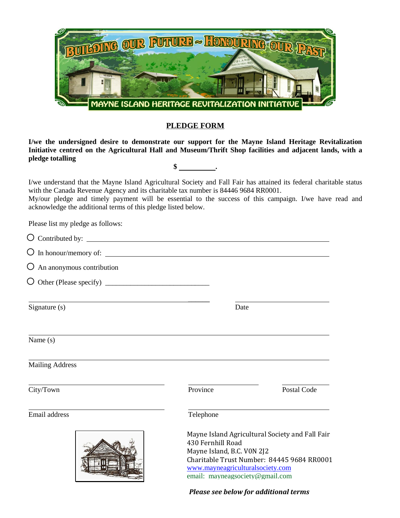

## **PLEDGE FORM**

**I/we the undersigned desire to demonstrate our support for the Mayne Island Heritage Revitalization Initiative centred on the Agricultural Hall and Museum/Thrift Shop facilities and adjacent lands, with a pledge totalling \$ .**

I/we understand that the Mayne Island Agricultural Society and Fall Fair has attained its federal charitable status with the Canada Revenue Agency and its charitable tax number is 84446 9684 RR0001.

My/our pledge and timely payment will be essential to the success of this campaign. I/we have read and acknowledge the additional terms of this pledge listed below.

Please list my pledge as follows:

| $\sqrt{2}$<br>$\cdot$ $\cdot$<br>$\cup$ Contributed by: |  |  |
|---------------------------------------------------------|--|--|
|                                                         |  |  |

| $\bigcirc$ In honour/memory of: |  |
|---------------------------------|--|
|                                 |  |

 $\overline{O}$  An anonymous contribution

 $\bigcirc$  Other (Please specify)  $\bigcirc$ 

Signature (s) Date

Name (s)

Mailing Address

City/Town Province Postal Code

Email address Telephone



 $\overline{\phantom{a}}$ 

Mayne Island Agricultural Society and Fall Fair 430 Fernhill Road Mayne Island, B.C. V0N 2J2 Charitable Trust Number: 84445 9684 RR0001 [www.mayneagriculturalsociety.com](http://www.mayneagriculturalsociety.com/)  email: mayneagsociety@gmail.com

*Please see below for additional terms*